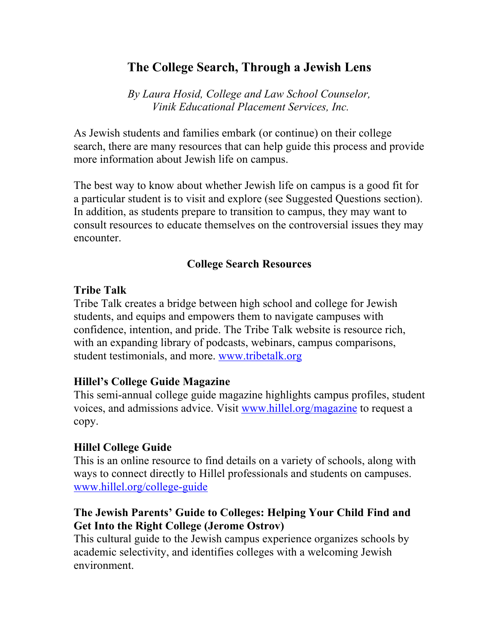# **The College Search, Through a Jewish Lens**

*By Laura Hosid, College and Law School Counselor, Vinik Educational Placement Services, Inc.*

As Jewish students and families embark (or continue) on their college search, there are many resources that can help guide this process and provide more information about Jewish life on campus.

The best way to know about whether Jewish life on campus is a good fit for a particular student is to visit and explore (see Suggested Questions section). In addition, as students prepare to transition to campus, they may want to consult resources to educate themselves on the controversial issues they may encounter.

#### **College Search Resources**

#### **Tribe Talk**

Tribe Talk creates a bridge between high school and college for Jewish students, and equips and empowers them to navigate campuses with confidence, intention, and pride. The Tribe Talk website is resource rich, with an expanding library of podcasts, webinars, campus comparisons, student testimonials, and more. www.tribetalk.org

## **Hillel's College Guide Magazine**

This semi-annual college guide magazine highlights campus profiles, student voices, and admissions advice. Visit www.hillel.org/magazine to request a copy.

## **Hillel College Guide**

This is an online resource to find details on a variety of schools, along with ways to connect directly to Hillel professionals and students on campuses. www.hillel.org/college-guide

## **The Jewish Parents' Guide to Colleges: Helping Your Child Find and Get Into the Right College (Jerome Ostrov)**

This cultural guide to the Jewish campus experience organizes schools by academic selectivity, and identifies colleges with a welcoming Jewish environment.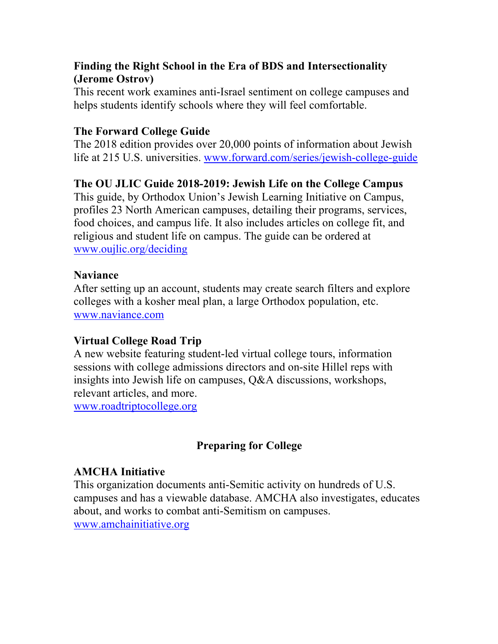## **Finding the Right School in the Era of BDS and Intersectionality (Jerome Ostrov)**

This recent work examines anti-Israel sentiment on college campuses and helps students identify schools where they will feel comfortable.

## **The Forward College Guide**

The 2018 edition provides over 20,000 points of information about Jewish life at 215 U.S. universities. www.forward.com/series/jewish-college-guide

## **The OU JLIC Guide 2018-2019: Jewish Life on the College Campus**

This guide, by Orthodox Union's Jewish Learning Initiative on Campus, profiles 23 North American campuses, detailing their programs, services, food choices, and campus life. It also includes articles on college fit, and religious and student life on campus. The guide can be ordered at www.oujlic.org/deciding

## **Naviance**

After setting up an account, students may create search filters and explore colleges with a kosher meal plan, a large Orthodox population, etc. www.naviance.com

## **Virtual College Road Trip**

A new website featuring student-led virtual college tours, information sessions with college admissions directors and on-site Hillel reps with insights into Jewish life on campuses, Q&A discussions, workshops, relevant articles, and more. www.roadtriptocollege.org

## **Preparing for College**

## **AMCHA Initiative**

This organization documents anti-Semitic activity on hundreds of U.S. campuses and has a viewable database. AMCHA also investigates, educates about, and works to combat anti-Semitism on campuses. www.amchainitiative.org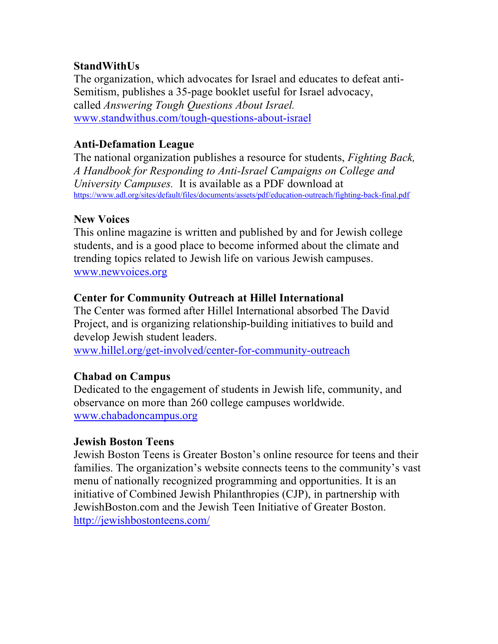## **StandWithUs**

The organization, which advocates for Israel and educates to defeat anti-Semitism, publishes a 35-page booklet useful for Israel advocacy, called *Answering Tough Questions About Israel.* www.standwithus.com/tough-questions-about-israel

## **Anti-Defamation League**

The national organization publishes a resource for students, *Fighting Back, A Handbook for Responding to Anti-Israel Campaigns on College and University Campuses.* It is available as a PDF download at https://www.adl.org/sites/default/files/documents/assets/pdf/education-outreach/fighting-back-final.pdf

#### **New Voices**

This online magazine is written and published by and for Jewish college students, and is a good place to become informed about the climate and trending topics related to Jewish life on various Jewish campuses. www.newvoices.org

#### **Center for Community Outreach at Hillel International**

The Center was formed after Hillel International absorbed The David Project, and is organizing relationship-building initiatives to build and develop Jewish student leaders.

www.hillel.org/get-involved/center-for-community-outreach

#### **Chabad on Campus**

Dedicated to the engagement of students in Jewish life, community, and observance on more than 260 college campuses worldwide. www.chabadoncampus.org

#### **Jewish Boston Teens**

Jewish Boston Teens is Greater Boston's online resource for teens and their families. The organization's website connects teens to the community's vast menu of nationally recognized programming and opportunities. It is an initiative of Combined Jewish Philanthropies (CJP), in partnership with JewishBoston.com and the Jewish Teen Initiative of Greater Boston. http://jewishbostonteens.com/